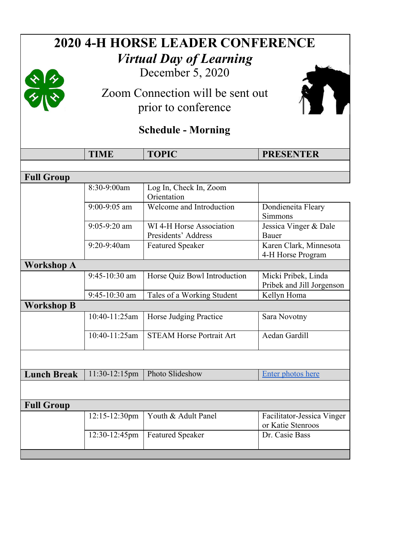| <b>2020 4-H HORSE LEADER CONFERENCE</b> |                                                                                                     |                                                 |                                                  |  |  |
|-----------------------------------------|-----------------------------------------------------------------------------------------------------|-------------------------------------------------|--------------------------------------------------|--|--|
| <b>Virtual Day of Learning</b>          |                                                                                                     |                                                 |                                                  |  |  |
|                                         | December 5, 2020<br>$\frac{1}{\sqrt{2}}$<br>Zoom Connection will be sent out<br>prior to conference |                                                 |                                                  |  |  |
|                                         |                                                                                                     |                                                 |                                                  |  |  |
|                                         |                                                                                                     |                                                 |                                                  |  |  |
|                                         |                                                                                                     |                                                 |                                                  |  |  |
| <b>Schedule - Morning</b>               |                                                                                                     |                                                 |                                                  |  |  |
|                                         | <b>TIME</b>                                                                                         | <b>TOPIC</b>                                    | <b>PRESENTER</b>                                 |  |  |
|                                         |                                                                                                     |                                                 |                                                  |  |  |
| <b>Full Group</b>                       |                                                                                                     |                                                 |                                                  |  |  |
|                                         | 8:30-9:00am                                                                                         | Log In, Check In, Zoom<br>Orientation           |                                                  |  |  |
|                                         | $9:00 - 9:05$ am                                                                                    | Welcome and Introduction                        | Dondieneita Fleary<br>Simmons                    |  |  |
|                                         | $9:05 - 9:20$ am                                                                                    | WI 4-H Horse Association<br>Presidents' Address | Jessica Vinger & Dale<br>Bauer                   |  |  |
|                                         | 9:20-9:40am                                                                                         | <b>Featured Speaker</b>                         | Karen Clark, Minnesota<br>4-H Horse Program      |  |  |
| <b>Workshop A</b>                       |                                                                                                     |                                                 |                                                  |  |  |
|                                         | 9:45-10:30 am                                                                                       | Horse Quiz Bowl Introduction                    | Micki Pribek, Linda<br>Pribek and Jill Jorgenson |  |  |
|                                         | 9:45-10:30 am                                                                                       | Tales of a Working Student                      | Kellyn Homa                                      |  |  |
| <b>Workshop B</b>                       |                                                                                                     |                                                 |                                                  |  |  |
|                                         | 10:40-11:25am                                                                                       | Horse Judging Practice                          | Sara Novotny                                     |  |  |
|                                         | 10:40-11:25am                                                                                       | STEAM Horse Portrait Art                        | Aedan Gardill                                    |  |  |
|                                         |                                                                                                     |                                                 |                                                  |  |  |
| <b>Lunch Break</b>                      | 11:30-12:15pm                                                                                       | Photo Slideshow                                 | Enter photos here                                |  |  |
|                                         |                                                                                                     |                                                 |                                                  |  |  |
| <b>Full Group</b>                       |                                                                                                     |                                                 |                                                  |  |  |
|                                         | 12:15-12:30pm                                                                                       | Youth & Adult Panel                             | Facilitator-Jessica Vinger<br>or Katie Stenroos  |  |  |
|                                         | 12:30-12:45pm                                                                                       | <b>Featured Speaker</b>                         | Dr. Casie Bass                                   |  |  |
|                                         |                                                                                                     |                                                 |                                                  |  |  |